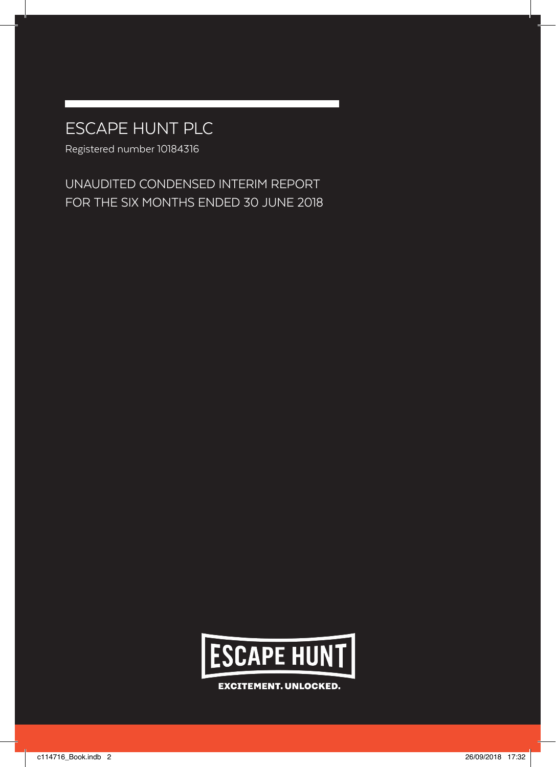# ESCAPE HUNT PLC

Registered number 10184316

UNAUDITED CONDENSED INTERIM REPORT FOR THE SIX MONTHS ENDED 30 JUNE 2018



**EXCITEMENT. UNLOCKED.**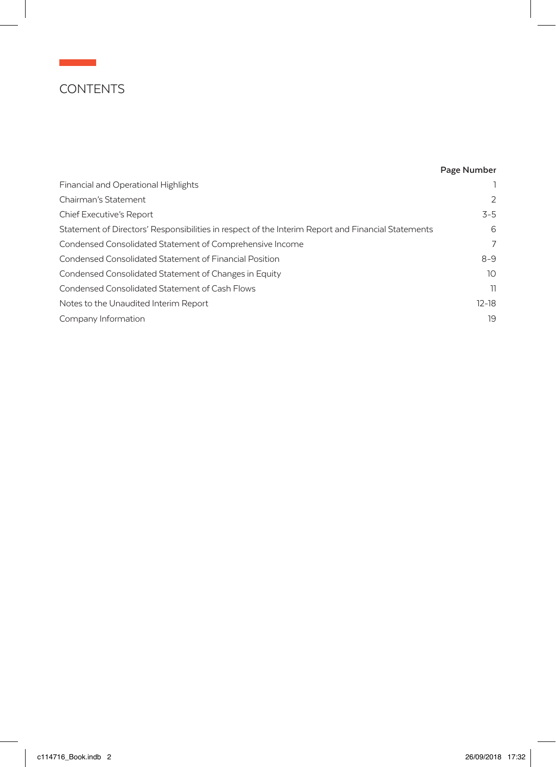## **CONTENTS**

 $\mathcal{L}(\mathcal{L})$  and  $\mathcal{L}(\mathcal{L})$ 

### **Page Number**

| Financial and Operational Highlights                                                               |               |
|----------------------------------------------------------------------------------------------------|---------------|
| Chairman's Statement                                                                               | $\mathcal{P}$ |
| Chief Executive's Report                                                                           | $3 - 5$       |
| Statement of Directors' Responsibilities in respect of the Interim Report and Financial Statements | 6             |
| Condensed Consolidated Statement of Comprehensive Income                                           | 7             |
| Condensed Consolidated Statement of Financial Position                                             | $8 - 9$       |
| Condensed Consolidated Statement of Changes in Equity                                              | 10            |
| Condensed Consolidated Statement of Cash Flows                                                     | 11            |
| Notes to the Unaudited Interim Report                                                              | $12-18$       |
| Company Information                                                                                | 19            |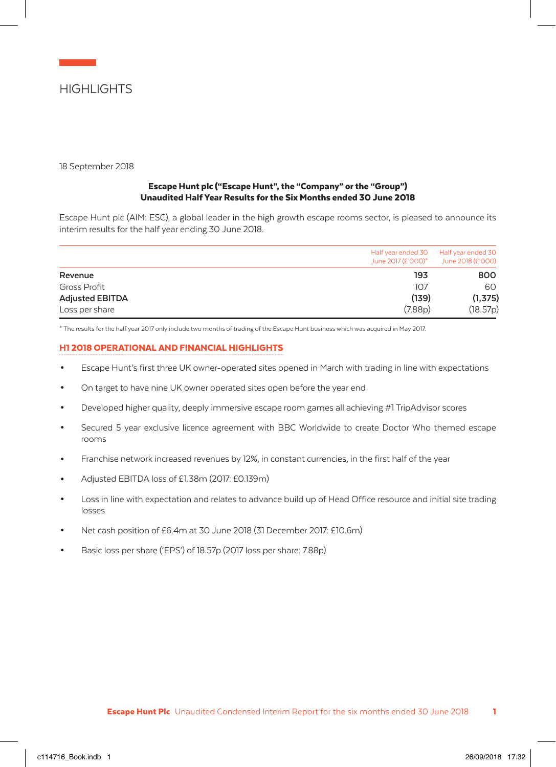

18 September 2018

### Escape Hunt plc ("Escape Hunt", the "Company" or the "Group") Unaudited Half Year Results for the Six Months ended 30 June 2018

Escape Hunt plc (AIM: ESC), a global leader in the high growth escape rooms sector, is pleased to announce its interim results for the half year ending 30 June 2018.

|                        | Half year ended 30<br>June 2017 (£'000)* | Half year ended 30<br>June 2018 (£'000) |
|------------------------|------------------------------------------|-----------------------------------------|
| Revenue                | 193                                      | 800                                     |
| Gross Profit           | 107                                      | 60                                      |
| <b>Adjusted EBITDA</b> | (139)                                    | (1, 375)                                |
| Loss per share         | (7.88 <sub>D</sub> )                     | (18.57p)                                |

\* The results for the half year 2017 only include two months of trading of the Escape Hunt business which was acquired in May 2017.

#### H1 2018 OPERATIONAL AND FINANCIAL HIGHLIGHTS

- Escape Hunt's first three UK owner-operated sites opened in March with trading in line with expectations
- On target to have nine UK owner operated sites open before the year end
- Developed higher quality, deeply immersive escape room games all achieving #1 TripAdvisor scores
- Secured 5 year exclusive licence agreement with BBC Worldwide to create Doctor Who themed escape rooms
- Franchise network increased revenues by 12%, in constant currencies, in the first half of the year
- Adjusted EBITDA loss of £1.38m (2017: £0.139m)
- Loss in line with expectation and relates to advance build up of Head Office resource and initial site trading losses
- Net cash position of £6.4m at 30 June 2018 (31 December 2017: £10.6m)
- Basic loss per share ('EPS') of 18.57p (2017 loss per share: 7.88p)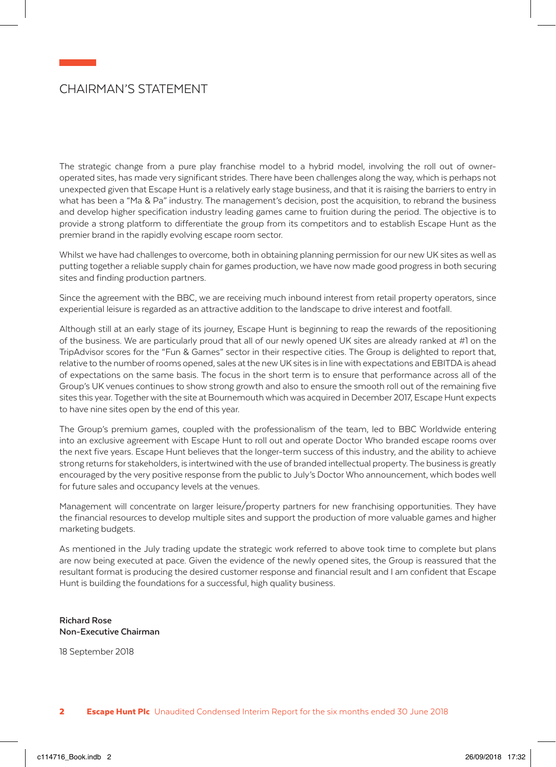## CHAIRMAN'S STATEMENT

The strategic change from a pure play franchise model to a hybrid model, involving the roll out of owneroperated sites, has made very significant strides. There have been challenges along the way, which is perhaps not unexpected given that Escape Hunt is a relatively early stage business, and that it is raising the barriers to entry in what has been a "Ma & Pa" industry. The management's decision, post the acquisition, to rebrand the business and develop higher specification industry leading games came to fruition during the period. The objective is to provide a strong platform to differentiate the group from its competitors and to establish Escape Hunt as the premier brand in the rapidly evolving escape room sector.

Whilst we have had challenges to overcome, both in obtaining planning permission for our new UK sites as well as putting together a reliable supply chain for games production, we have now made good progress in both securing sites and finding production partners.

Since the agreement with the BBC, we are receiving much inbound interest from retail property operators, since experiential leisure is regarded as an attractive addition to the landscape to drive interest and footfall.

Although still at an early stage of its journey, Escape Hunt is beginning to reap the rewards of the repositioning of the business. We are particularly proud that all of our newly opened UK sites are already ranked at #1 on the TripAdvisor scores for the "Fun & Games" sector in their respective cities. The Group is delighted to report that, relative to the number of rooms opened, sales at the new UK sites is in line with expectations and EBITDA is ahead of expectations on the same basis. The focus in the short term is to ensure that performance across all of the Group's UK venues continues to show strong growth and also to ensure the smooth roll out of the remaining five sites this year. Together with the site at Bournemouth which was acquired in December 2017, Escape Hunt expects to have nine sites open by the end of this year.

The Group's premium games, coupled with the professionalism of the team, led to BBC Worldwide entering into an exclusive agreement with Escape Hunt to roll out and operate Doctor Who branded escape rooms over the next five years. Escape Hunt believes that the longer-term success of this industry, and the ability to achieve strong returns for stakeholders, is intertwined with the use of branded intellectual property. The business is greatly encouraged by the very positive response from the public to July's Doctor Who announcement, which bodes well for future sales and occupancy levels at the venues.

Management will concentrate on larger leisure/property partners for new franchising opportunities. They have the financial resources to develop multiple sites and support the production of more valuable games and higher marketing budgets.

As mentioned in the July trading update the strategic work referred to above took time to complete but plans are now being executed at pace. Given the evidence of the newly opened sites, the Group is reassured that the resultant format is producing the desired customer response and financial result and I am confident that Escape Hunt is building the foundations for a successful, high quality business.

**Richard Rose Non-Executive Chairman**

18 September 2018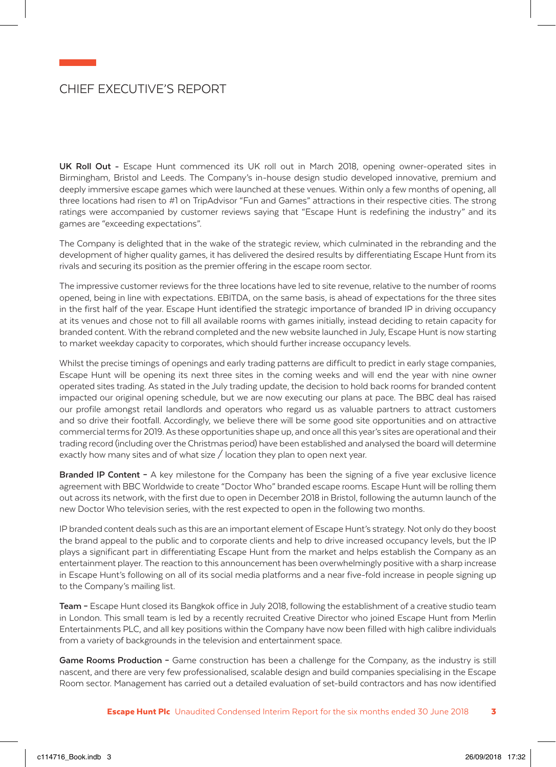## CHIEF EXECUTIVE'S REPORT

**UK Roll Out -** Escape Hunt commenced its UK roll out in March 2018, opening owner-operated sites in Birmingham, Bristol and Leeds. The Company's in-house design studio developed innovative, premium and deeply immersive escape games which were launched at these venues. Within only a few months of opening, all three locations had risen to #1 on TripAdvisor "Fun and Games" attractions in their respective cities. The strong ratings were accompanied by customer reviews saying that "Escape Hunt is redefining the industry" and its games are "exceeding expectations".

The Company is delighted that in the wake of the strategic review, which culminated in the rebranding and the development of higher quality games, it has delivered the desired results by differentiating Escape Hunt from its rivals and securing its position as the premier offering in the escape room sector.

The impressive customer reviews for the three locations have led to site revenue, relative to the number of rooms opened, being in line with expectations. EBITDA, on the same basis, is ahead of expectations for the three sites in the first half of the year. Escape Hunt identified the strategic importance of branded IP in driving occupancy at its venues and chose not to fill all available rooms with games initially, instead deciding to retain capacity for branded content. With the rebrand completed and the new website launched in July, Escape Hunt is now starting to market weekday capacity to corporates, which should further increase occupancy levels.

Whilst the precise timings of openings and early trading patterns are difficult to predict in early stage companies, Escape Hunt will be opening its next three sites in the coming weeks and will end the year with nine owner operated sites trading. As stated in the July trading update, the decision to hold back rooms for branded content impacted our original opening schedule, but we are now executing our plans at pace. The BBC deal has raised our profile amongst retail landlords and operators who regard us as valuable partners to attract customers and so drive their footfall. Accordingly, we believe there will be some good site opportunities and on attractive commercial terms for 2019. As these opportunities shape up, and once all this year's sites are operational and their trading record (including over the Christmas period) have been established and analysed the board will determine exactly how many sites and of what size / location they plan to open next year.

**Branded IP Content –** A key milestone for the Company has been the signing of a five year exclusive licence agreement with BBC Worldwide to create "Doctor Who" branded escape rooms. Escape Hunt will be rolling them out across its network, with the first due to open in December 2018 in Bristol, following the autumn launch of the new Doctor Who television series, with the rest expected to open in the following two months.

IP branded content deals such as this are an important element of Escape Hunt's strategy. Not only do they boost the brand appeal to the public and to corporate clients and help to drive increased occupancy levels, but the IP plays a significant part in differentiating Escape Hunt from the market and helps establish the Company as an entertainment player. The reaction to this announcement has been overwhelmingly positive with a sharp increase in Escape Hunt's following on all of its social media platforms and a near five-fold increase in people signing up to the Company's mailing list.

**Team –** Escape Hunt closed its Bangkok office in July 2018, following the establishment of a creative studio team in London. This small team is led by a recently recruited Creative Director who joined Escape Hunt from Merlin Entertainments PLC, and all key positions within the Company have now been filled with high calibre individuals from a variety of backgrounds in the television and entertainment space.

**Game Rooms Production –** Game construction has been a challenge for the Company, as the industry is still nascent, and there are very few professionalised, scalable design and build companies specialising in the Escape Room sector. Management has carried out a detailed evaluation of set-build contractors and has now identified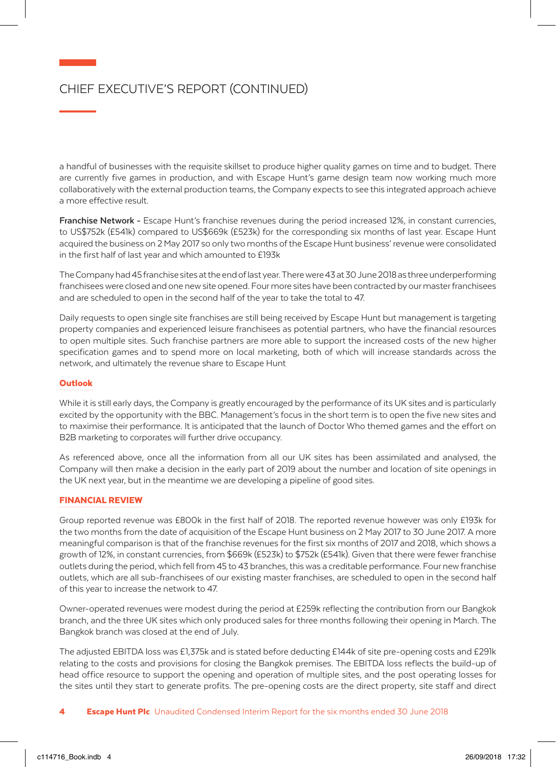## CHIEF EXECUTIVE'S REPORT (CONTINUED)

a handful of businesses with the requisite skillset to produce higher quality games on time and to budget. There are currently five games in production, and with Escape Hunt's game design team now working much more collaboratively with the external production teams, the Company expects to see this integrated approach achieve a more effective result.

**Franchise Network -** Escape Hunt's franchise revenues during the period increased 12%, in constant currencies, to US\$752k (£541k) compared to US\$669k (£523k) for the corresponding six months of last year. Escape Hunt acquired the business on 2 May 2017 so only two months of the Escape Hunt business' revenue were consolidated in the first half of last year and which amounted to £193k

The Company had 45 franchise sites at the end of last year. There were 43 at 30 June 2018 as three underperforming franchisees were closed and one new site opened. Four more sites have been contracted by our master franchisees and are scheduled to open in the second half of the year to take the total to 47.

Daily requests to open single site franchises are still being received by Escape Hunt but management is targeting property companies and experienced leisure franchisees as potential partners, who have the financial resources to open multiple sites. Such franchise partners are more able to support the increased costs of the new higher specification games and to spend more on local marketing, both of which will increase standards across the network, and ultimately the revenue share to Escape Hunt

#### Outlook

While it is still early days, the Company is greatly encouraged by the performance of its UK sites and is particularly excited by the opportunity with the BBC. Management's focus in the short term is to open the five new sites and to maximise their performance. It is anticipated that the launch of Doctor Who themed games and the effort on B2B marketing to corporates will further drive occupancy.

As referenced above, once all the information from all our UK sites has been assimilated and analysed, the Company will then make a decision in the early part of 2019 about the number and location of site openings in the UK next year, but in the meantime we are developing a pipeline of good sites.

#### FINANCIAL REVIEW

Group reported revenue was £800k in the first half of 2018. The reported revenue however was only £193k for the two months from the date of acquisition of the Escape Hunt business on 2 May 2017 to 30 June 2017. A more meaningful comparison is that of the franchise revenues for the first six months of 2017 and 2018, which shows a growth of 12%, in constant currencies, from \$669k (£523k) to \$752k (£541k). Given that there were fewer franchise outlets during the period, which fell from 45 to 43 branches, this was a creditable performance. Four new franchise outlets, which are all sub-franchisees of our existing master franchises, are scheduled to open in the second half of this year to increase the network to 47.

Owner-operated revenues were modest during the period at £259k reflecting the contribution from our Bangkok branch, and the three UK sites which only produced sales for three months following their opening in March. The Bangkok branch was closed at the end of July.

The adjusted EBITDA loss was £1,375k and is stated before deducting £144k of site pre-opening costs and £291k relating to the costs and provisions for closing the Bangkok premises. The EBITDA loss reflects the build-up of head office resource to support the opening and operation of multiple sites, and the post operating losses for the sites until they start to generate profits. The pre-opening costs are the direct property, site staff and direct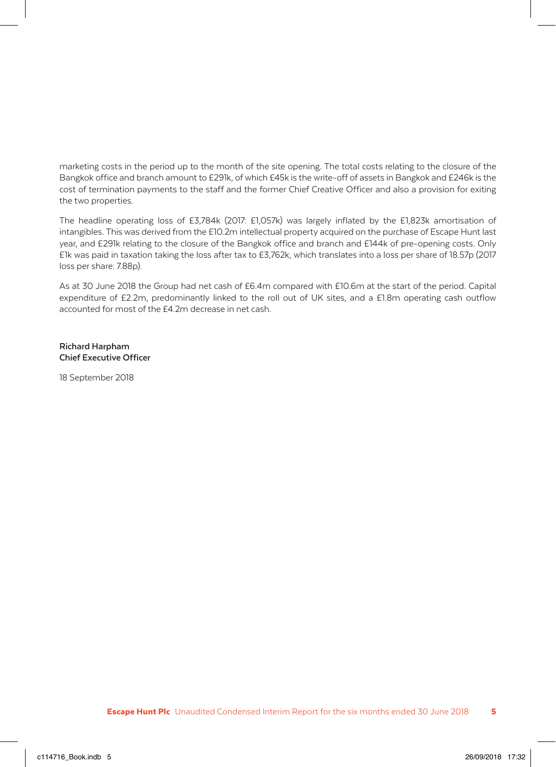marketing costs in the period up to the month of the site opening. The total costs relating to the closure of the Bangkok office and branch amount to £291k, of which £45k is the write-off of assets in Bangkok and £246k is the cost of termination payments to the staff and the former Chief Creative Officer and also a provision for exiting the two properties.

The headline operating loss of £3,784k (2017: £1,057k) was largely inflated by the £1,823k amortisation of intangibles. This was derived from the £10.2m intellectual property acquired on the purchase of Escape Hunt last year, and £291k relating to the closure of the Bangkok office and branch and £144k of pre-opening costs. Only £1k was paid in taxation taking the loss after tax to £3,762k, which translates into a loss per share of 18.57p (2017 loss per share: 7.88p).

As at 30 June 2018 the Group had net cash of £6.4m compared with £10.6m at the start of the period. Capital expenditure of £2.2m, predominantly linked to the roll out of UK sites, and a £1.8m operating cash outflow accounted for most of the £4.2m decrease in net cash.

**Richard Harpham Chief Executive Officer**

18 September 2018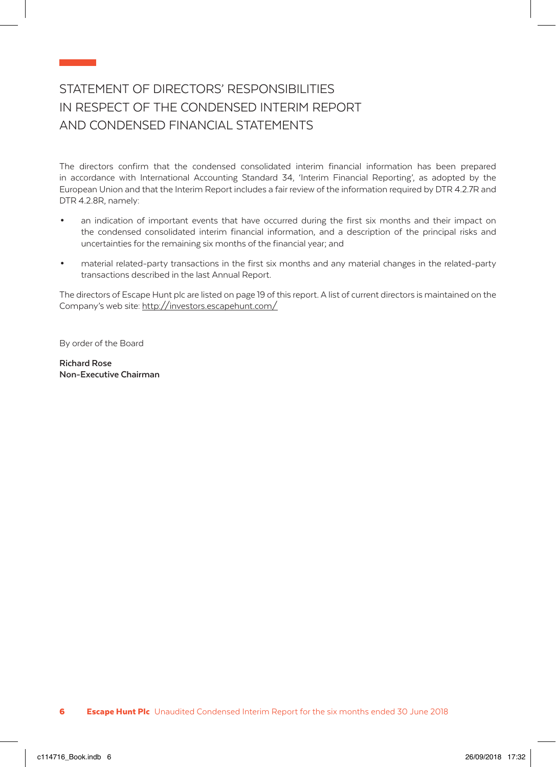## STATEMENT OF DIRECTORS' RESPONSIBILITIES IN RESPECT OF THE CONDENSED INTERIM REPORT AND CONDENSED FINANCIAL STATEMENTS

The directors confirm that the condensed consolidated interim financial information has been prepared in accordance with International Accounting Standard 34, 'Interim Financial Reporting', as adopted by the European Union and that the Interim Report includes a fair review of the information required by DTR 4.2.7R and DTR 4.2.8R, namely:

- an indication of important events that have occurred during the first six months and their impact on the condensed consolidated interim financial information, and a description of the principal risks and uncertainties for the remaining six months of the financial year; and
- material related-party transactions in the first six months and any material changes in the related-party transactions described in the last Annual Report.

The directors of Escape Hunt plc are listed on page 19 of this report. A list of current directors is maintained on the Company's web site: http://investors.escapehunt.com/

By order of the Board

**Richard Rose Non-Executive Chairman**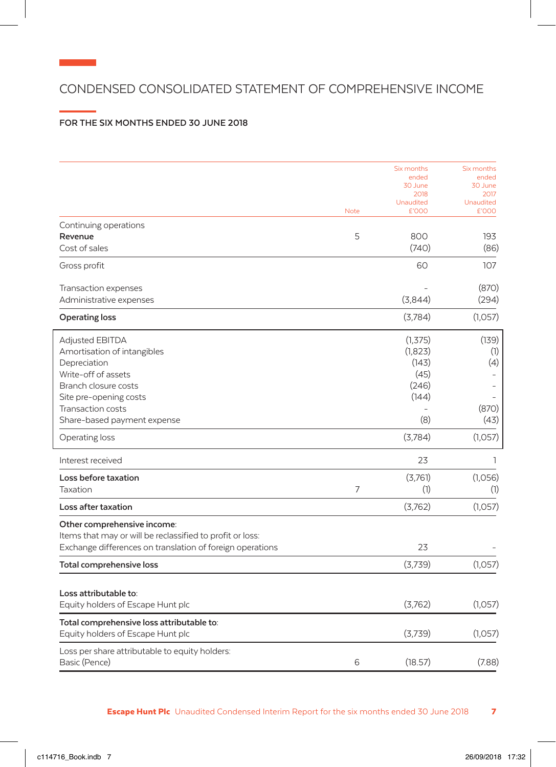## CONDENSED CONSOLIDATED STATEMENT OF COMPREHENSIVE INCOME

## **FOR THE SIX MONTHS ENDED 30 JUNE 2018**

|                                                           |             | Six months                | Six months         |
|-----------------------------------------------------------|-------------|---------------------------|--------------------|
|                                                           |             | ended                     | ended              |
|                                                           |             | 30 June                   | 30 June            |
|                                                           |             | 2018                      | 2017               |
|                                                           | <b>Note</b> | <b>Unaudited</b><br>£'000 | Unaudited<br>£'000 |
| Continuing operations                                     |             |                           |                    |
| Revenue                                                   | 5           | 800                       | 193                |
| Cost of sales                                             |             | (740)                     | (86)               |
| Gross profit                                              |             | 60                        | 107                |
| Transaction expenses                                      |             |                           | (870)              |
| Administrative expenses                                   |             | (3,844)                   | (294)              |
| Operating loss                                            |             | (3,784)                   | (1,057)            |
| <b>Adjusted EBITDA</b>                                    |             | (1, 375)                  | (139)              |
| Amortisation of intangibles                               |             | (1,823)                   | (1)                |
| Depreciation                                              |             | (143)                     | (4)                |
| Write-off of assets                                       |             | (45)                      |                    |
| Branch closure costs                                      |             | (246)                     |                    |
| Site pre-opening costs                                    |             | (144)                     |                    |
| Transaction costs                                         |             |                           | (870)              |
| Share-based payment expense                               |             | (8)                       | (43)               |
| Operating loss                                            |             | (3,784)                   | (1,057)            |
| Interest received                                         |             | 23                        | ı                  |
| Loss before taxation                                      |             | (3,761)                   | (1,056)            |
| Taxation                                                  | 7           | (1)                       | (1)                |
| Loss after taxation                                       |             | (3,762)                   | (1,057)            |
| Other comprehensive income:                               |             |                           |                    |
| Items that may or will be reclassified to profit or loss: |             |                           |                    |
| Exchange differences on translation of foreign operations |             | 23                        |                    |
| Total comprehensive loss                                  |             | (3,739)                   | (1,057)            |
| Loss attributable to:                                     |             |                           |                    |
| Equity holders of Escape Hunt plc                         |             | (3,762)                   | (1,057)            |
| Total comprehensive loss attributable to:                 |             |                           |                    |
| Equity holders of Escape Hunt plc                         |             | (3,739)                   | (1,057)            |
| Loss per share attributable to equity holders:            |             |                           |                    |
| Basic (Pence)                                             | 6           | (18.57)                   | (7.88)             |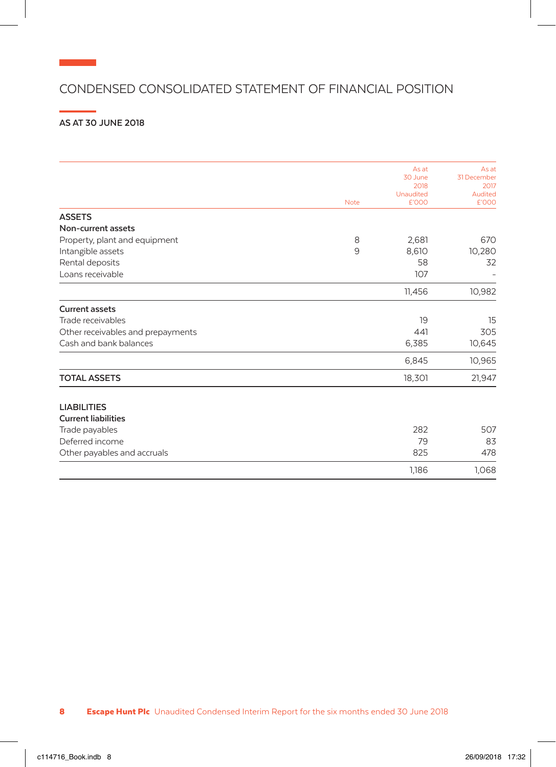## CONDENSED CONSOLIDATED STATEMENT OF FINANCIAL POSITION

## **AS AT 30 JUNE 2018**

**Contract Contract** 

|                                   |             | As at                    | As at           |
|-----------------------------------|-------------|--------------------------|-----------------|
|                                   |             | 30 June                  | 31 December     |
|                                   |             | 2018<br><b>Unaudited</b> | 2017<br>Audited |
|                                   | <b>Note</b> | £'000                    | £'000           |
| <b>ASSETS</b>                     |             |                          |                 |
| Non-current assets                |             |                          |                 |
| Property, plant and equipment     | 8           | 2,681                    | 670             |
| Intangible assets                 | 9           | 8,610                    | 10,280          |
| Rental deposits                   |             | 58                       | 32              |
| Loans receivable                  |             | 107                      |                 |
|                                   |             | 11,456                   | 10,982          |
| <b>Current assets</b>             |             |                          |                 |
| Trade receivables                 |             | 19                       | 15              |
| Other receivables and prepayments |             | 441                      | 305             |
| Cash and bank balances            |             | 6,385                    | 10,645          |
|                                   |             | 6,845                    | 10,965          |
| <b>TOTAL ASSETS</b>               |             | 18,301                   | 21,947          |
| <b>LIABILITIES</b>                |             |                          |                 |
| <b>Current liabilities</b>        |             |                          |                 |
| Trade payables                    |             | 282                      | 507             |
| Deferred income                   |             | 79                       | 83              |
| Other payables and accruals       |             | 825                      | 478             |
|                                   |             | 1,186                    | 1,068           |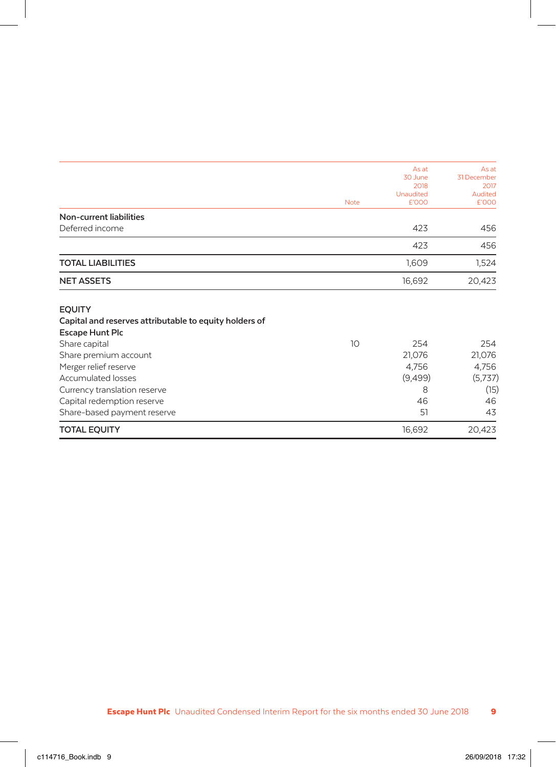|                                                        |             | As at<br>30 June | As at<br>31 December |  |
|--------------------------------------------------------|-------------|------------------|----------------------|--|
|                                                        |             | 2018             | 2017                 |  |
|                                                        |             | Unaudited        | Audited              |  |
|                                                        | <b>Note</b> | £'000            | £'000                |  |
| Non-current liabilities                                |             |                  |                      |  |
| Deferred income                                        |             | 423              | 456                  |  |
|                                                        |             | 423              | 456                  |  |
| <b>TOTAL LIABILITIES</b>                               |             | 1,609            | 1,524                |  |
| <b>NET ASSETS</b>                                      |             | 16,692           | 20,423               |  |
| <b>EQUITY</b>                                          |             |                  |                      |  |
| Capital and reserves attributable to equity holders of |             |                  |                      |  |
| <b>Escape Hunt Plc</b>                                 |             |                  |                      |  |
| Share capital                                          | 10          | 254              | 254                  |  |
| Share premium account                                  |             | 21,076           | 21,076               |  |
| Merger relief reserve                                  |             | 4,756            | 4,756                |  |
| <b>Accumulated losses</b>                              |             | (9,499)          | (5,737)              |  |
| Currency translation reserve                           |             | 8                | (15)                 |  |
| Capital redemption reserve                             |             | 46               | 46                   |  |
| Share-based payment reserve                            |             | 51               | 43                   |  |
| <b>TOTAL EQUITY</b>                                    |             | 16,692           | 20,423               |  |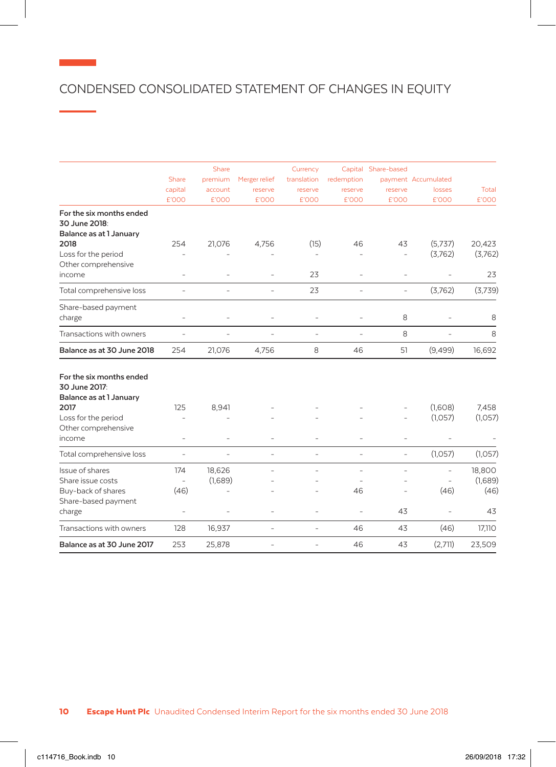## CONDENSED CONSOLIDATED STATEMENT OF CHANGES IN EQUITY

|                                                                                                                                      |                                         | Share             |                | Currency       |                      | Capital Share-based |                          |                           |
|--------------------------------------------------------------------------------------------------------------------------------------|-----------------------------------------|-------------------|----------------|----------------|----------------------|---------------------|--------------------------|---------------------------|
|                                                                                                                                      | <b>Share</b>                            | premium           | Merger relief  | translation    | redemption           |                     | payment Accumulated      |                           |
|                                                                                                                                      | capital                                 | account           | reserve        | reserve        | reserve              | reserve             | losses                   | Total                     |
|                                                                                                                                      | £'000                                   | £'000             | £'000          | £'000          | £'000                | £'000               | £'000                    | £'000                     |
| For the six months ended<br>30 June 2018:<br>Balance as at 1 January                                                                 |                                         |                   |                |                |                      |                     |                          |                           |
| 2018                                                                                                                                 | 254                                     | 21,076            | 4,756          | (15)           | 46                   | 43                  | (5,737)                  | 20,423                    |
| Loss for the period<br>Other comprehensive                                                                                           |                                         |                   |                |                | ÷,                   | $\overline{a}$      | (3,762)                  | (3,762)                   |
| income                                                                                                                               |                                         |                   |                | 23             |                      |                     |                          | 23                        |
| Total comprehensive loss                                                                                                             | ٠                                       |                   | ÷              | 23             | ÷                    | ÷                   | (3,762)                  | (3,739)                   |
| Share-based payment<br>charge                                                                                                        | ٠                                       |                   |                |                |                      | 8                   |                          | 8                         |
| Transactions with owners                                                                                                             | ٠                                       | ٠                 | ÷              | $\overline{a}$ | ÷                    | 8                   | Ē,                       | 8                         |
| Balance as at 30 June 2018                                                                                                           | 254                                     | 21,076            | 4,756          | 8              | 46                   | 51                  | (9,499)                  | 16,692                    |
| For the six months ended<br>30 June 2017:<br>Balance as at 1 January<br>2017<br>Loss for the period<br>Other comprehensive<br>income | 125<br>÷,                               | 8,941<br>٠        |                |                |                      | ۳                   | (1,608)<br>(1,057)<br>Ē, | 7,458<br>(1,057)          |
|                                                                                                                                      |                                         |                   |                |                |                      |                     |                          |                           |
| Total comprehensive loss                                                                                                             | L.                                      |                   | L.             |                | ÷                    | $\overline{a}$      | (1,057)                  | (1,057)                   |
| Issue of shares<br>Share issue costs                                                                                                 | 174<br>$\overline{\phantom{a}}$<br>(46) | 18,626<br>(1,689) |                |                | $\overline{a}$<br>46 | $\overline{a}$      | L<br>(46)                | 18,800<br>(1,689)<br>(46) |
| Buy-back of shares<br>Share-based payment<br>charge                                                                                  | ÷,                                      |                   |                |                | $\overline{a}$       | 43                  |                          | 43                        |
| Transactions with owners                                                                                                             | 128                                     | 16,937            | L,             | ÷              | 46                   | 43                  | (46)                     | 17,110                    |
| Balance as at 30 June 2017                                                                                                           | 253                                     | 25,878            | $\overline{a}$ |                | 46                   | 43                  | (2,711)                  | 23,509                    |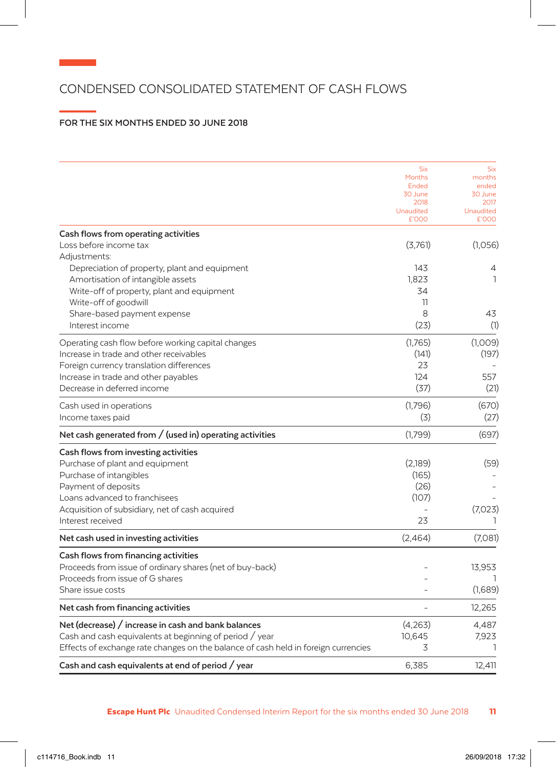## CONDENSED CONSOLIDATED STATEMENT OF CASH FLOWS

## **FOR THE SIX MONTHS ENDED 30 JUNE 2018**

|                                                                                    | <b>Six</b>       | <b>Six</b>       |
|------------------------------------------------------------------------------------|------------------|------------------|
|                                                                                    | Months           | months           |
|                                                                                    | Ended<br>30 June | ended<br>30 June |
|                                                                                    | 2018             | 2017             |
|                                                                                    | Unaudited        | Unaudited        |
|                                                                                    | £'000            | £'000            |
| Cash flows from operating activities                                               |                  |                  |
| Loss before income tax                                                             | (3,761)          | (1,056)          |
| Adjustments:                                                                       |                  |                  |
| Depreciation of property, plant and equipment                                      | 143              | 4                |
| Amortisation of intangible assets                                                  | 1,823            | ı                |
| Write-off of property, plant and equipment                                         | 34               |                  |
| Write-off of goodwill                                                              | 11               |                  |
| Share-based payment expense                                                        | 8                | 43               |
| Interest income                                                                    | (23)             | (1)              |
|                                                                                    |                  |                  |
| Operating cash flow before working capital changes                                 | (1,765)          | (1,009)          |
| Increase in trade and other receivables                                            | (141)            | (197)            |
| Foreign currency translation differences                                           | 23               |                  |
| Increase in trade and other payables                                               | 124              | 557              |
| Decrease in deferred income                                                        | (37)             | (21)             |
| Cash used in operations                                                            | (1,796)          | (670)            |
| Income taxes paid                                                                  | (3)              | (27)             |
| Net cash generated from $/$ (used in) operating activities                         | (1,799)          | (697)            |
| Cash flows from investing activities                                               |                  |                  |
| Purchase of plant and equipment                                                    | (2,189)          | (59)             |
| Purchase of intangibles                                                            | (165)            |                  |
| Payment of deposits                                                                | (26)             |                  |
| Loans advanced to franchisees                                                      | (107)            |                  |
| Acquisition of subsidiary, net of cash acquired                                    |                  | (7,023)          |
| Interest received                                                                  | 23               |                  |
|                                                                                    |                  |                  |
| Net cash used in investing activities                                              | (2,464)          | (7,081)          |
| Cash flows from financing activities                                               |                  |                  |
| Proceeds from issue of ordinary shares (net of buy-back)                           |                  | 13,953           |
| Proceeds from issue of G shares                                                    |                  |                  |
| Share issue costs                                                                  |                  | (1,689)          |
| Net cash from financing activities                                                 |                  | 12,265           |
| Net (decrease) / increase in cash and bank balances                                | (4,263)          | 4,487            |
| Cash and cash equivalents at beginning of period / year                            | 10,645           | 7,923            |
| Effects of exchange rate changes on the balance of cash held in foreign currencies | 3                | ı                |
| Cash and cash equivalents at end of period / year                                  | 6,385            | 12,411           |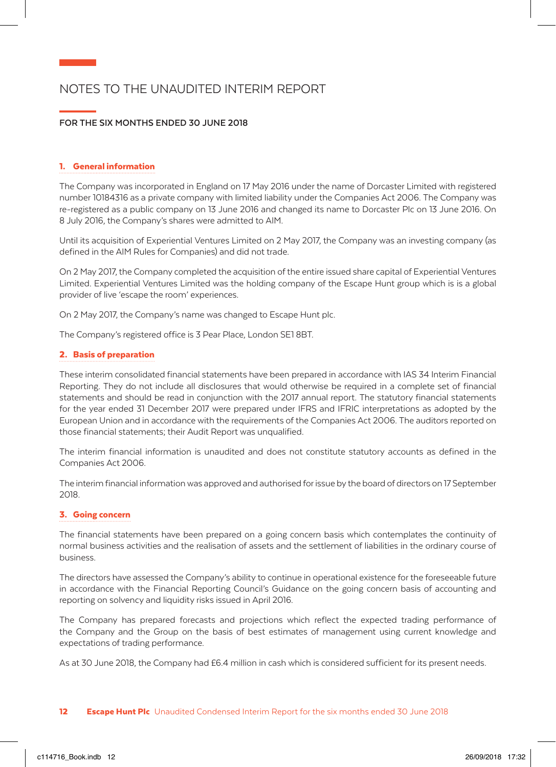## NOTES TO THE UNAUDITED INTERIM REPORT

### **FOR THE SIX MONTHS ENDED 30 JUNE 2018**

#### 1. General information

The Company was incorporated in England on 17 May 2016 under the name of Dorcaster Limited with registered number 10184316 as a private company with limited liability under the Companies Act 2006. The Company was re-registered as a public company on 13 June 2016 and changed its name to Dorcaster Plc on 13 June 2016. On 8 July 2016, the Company's shares were admitted to AIM.

Until its acquisition of Experiential Ventures Limited on 2 May 2017, the Company was an investing company (as defined in the AIM Rules for Companies) and did not trade.

On 2 May 2017, the Company completed the acquisition of the entire issued share capital of Experiential Ventures Limited. Experiential Ventures Limited was the holding company of the Escape Hunt group which is is a global provider of live 'escape the room' experiences.

On 2 May 2017, the Company's name was changed to Escape Hunt plc.

The Company's registered office is 3 Pear Place, London SE1 8BT.

### 2. Basis of preparation

These interim consolidated financial statements have been prepared in accordance with IAS 34 Interim Financial Reporting. They do not include all disclosures that would otherwise be required in a complete set of financial statements and should be read in conjunction with the 2017 annual report. The statutory financial statements for the year ended 31 December 2017 were prepared under IFRS and IFRIC interpretations as adopted by the European Union and in accordance with the requirements of the Companies Act 2006. The auditors reported on those financial statements; their Audit Report was unqualified.

The interim financial information is unaudited and does not constitute statutory accounts as defined in the Companies Act 2006.

The interim financial information was approved and authorised for issue by the board of directors on 17 September 2018.

#### 3. Going concern

The financial statements have been prepared on a going concern basis which contemplates the continuity of normal business activities and the realisation of assets and the settlement of liabilities in the ordinary course of business.

The directors have assessed the Company's ability to continue in operational existence for the foreseeable future in accordance with the Financial Reporting Council's Guidance on the going concern basis of accounting and reporting on solvency and liquidity risks issued in April 2016.

The Company has prepared forecasts and projections which reflect the expected trading performance of the Company and the Group on the basis of best estimates of management using current knowledge and expectations of trading performance.

As at 30 June 2018, the Company had £6.4 million in cash which is considered sufficient for its present needs.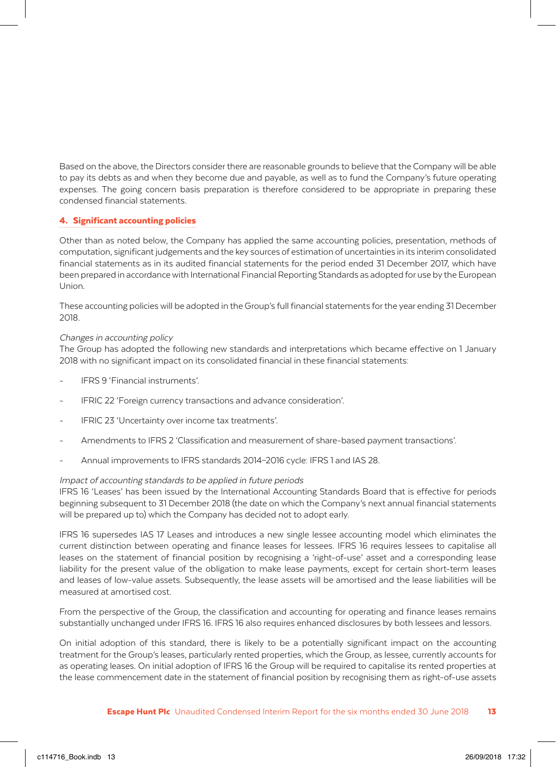Based on the above, the Directors consider there are reasonable grounds to believe that the Company will be able to pay its debts as and when they become due and payable, as well as to fund the Company's future operating expenses. The going concern basis preparation is therefore considered to be appropriate in preparing these condensed financial statements.

### 4. Significant accounting policies

Other than as noted below, the Company has applied the same accounting policies, presentation, methods of computation, significant judgements and the key sources of estimation of uncertainties in its interim consolidated financial statements as in its audited financial statements for the period ended 31 December 2017, which have been prepared in accordance with International Financial Reporting Standards as adopted for use by the European Union.

These accounting policies will be adopted in the Group's full financial statements for the year ending 31 December 2018.

### Changes in accounting policy

The Group has adopted the following new standards and interpretations which became effective on 1 January 2018 with no significant impact on its consolidated financial in these financial statements:

- IFRS 9 'Financial instruments'.
- IFRIC 22 'Foreign currency transactions and advance consideration'.
- IFRIC 23 'Uncertainty over income tax treatments'.
- Amendments to IFRS 2 'Classification and measurement of share-based payment transactions'.
- Annual improvements to IFRS standards 2014–2016 cycle: IFRS 1 and IAS 28.

#### Impact of accounting standards to be applied in future periods

IFRS 16 'Leases' has been issued by the International Accounting Standards Board that is effective for periods beginning subsequent to 31 December 2018 (the date on which the Company's next annual financial statements will be prepared up to) which the Company has decided not to adopt early.

IFRS 16 supersedes IAS 17 Leases and introduces a new single lessee accounting model which eliminates the current distinction between operating and finance leases for lessees. IFRS 16 requires lessees to capitalise all leases on the statement of financial position by recognising a 'right-of-use' asset and a corresponding lease liability for the present value of the obligation to make lease payments, except for certain short-term leases and leases of low-value assets. Subsequently, the lease assets will be amortised and the lease liabilities will be measured at amortised cost.

From the perspective of the Group, the classification and accounting for operating and finance leases remains substantially unchanged under IFRS 16. IFRS 16 also requires enhanced disclosures by both lessees and lessors.

On initial adoption of this standard, there is likely to be a potentially significant impact on the accounting treatment for the Group's leases, particularly rented properties, which the Group, as lessee, currently accounts for as operating leases. On initial adoption of IFRS 16 the Group will be required to capitalise its rented properties at the lease commencement date in the statement of financial position by recognising them as right-of-use assets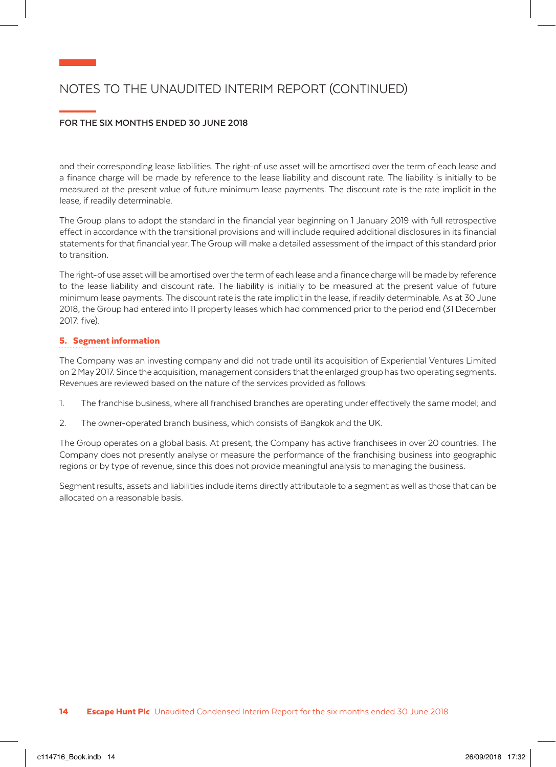## NOTES TO THE UNAUDITED INTERIM REPORT (CONTINUED)

## **FOR THE SIX MONTHS ENDED 30 JUNE 2018**

and their corresponding lease liabilities. The right-of use asset will be amortised over the term of each lease and a finance charge will be made by reference to the lease liability and discount rate. The liability is initially to be measured at the present value of future minimum lease payments. The discount rate is the rate implicit in the lease, if readily determinable.

The Group plans to adopt the standard in the financial year beginning on 1 January 2019 with full retrospective effect in accordance with the transitional provisions and will include required additional disclosures in its financial statements for that financial year. The Group will make a detailed assessment of the impact of this standard prior to transition.

The right-of use asset will be amortised over the term of each lease and a finance charge will be made by reference to the lease liability and discount rate. The liability is initially to be measured at the present value of future minimum lease payments. The discount rate is the rate implicit in the lease, if readily determinable. As at 30 June 2018, the Group had entered into 11 property leases which had commenced prior to the period end (31 December 2017: five).

## 5. Segment information

The Company was an investing company and did not trade until its acquisition of Experiential Ventures Limited on 2 May 2017. Since the acquisition, management considers that the enlarged group has two operating segments. Revenues are reviewed based on the nature of the services provided as follows:

- 1. The franchise business, where all franchised branches are operating under effectively the same model; and
- 2. The owner-operated branch business, which consists of Bangkok and the UK.

The Group operates on a global basis. At present, the Company has active franchisees in over 20 countries. The Company does not presently analyse or measure the performance of the franchising business into geographic regions or by type of revenue, since this does not provide meaningful analysis to managing the business.

Segment results, assets and liabilities include items directly attributable to a segment as well as those that can be allocated on a reasonable basis.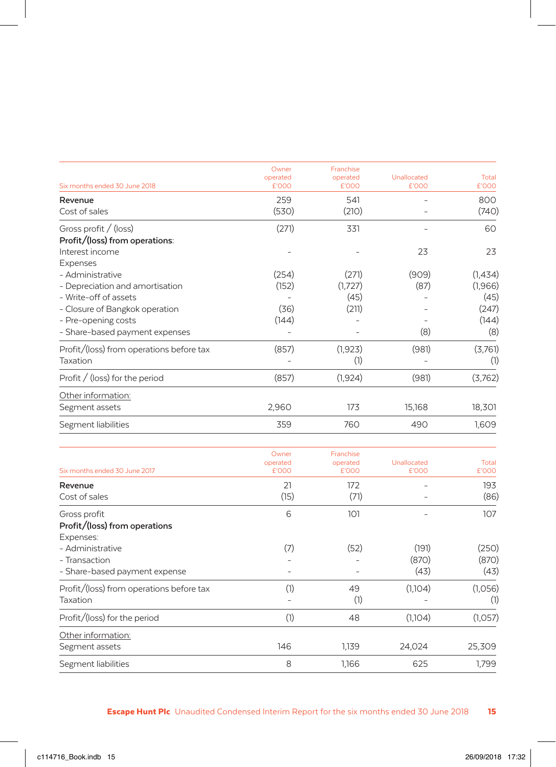|                                          | Owner<br>operated | Franchise<br>operated | Unallocated          | Total          |
|------------------------------------------|-------------------|-----------------------|----------------------|----------------|
| Six months ended 30 June 2018            | £'000             | £'000                 | £'000                | £'000          |
| Revenue                                  | 259               | 541                   |                      | 800            |
| Cost of sales                            | (530)             | (210)                 |                      | (740)          |
| Gross profit / (loss)                    | (271)             | 331                   |                      | 60             |
| Profit/(loss) from operations:           |                   |                       |                      |                |
| Interest income                          |                   |                       | 23                   | 23             |
| Expenses                                 |                   |                       |                      |                |
| - Administrative                         | (254)             | (271)                 | (909)                | (1,434)        |
| - Depreciation and amortisation          | (152)             | (1,727)               | (87)                 | (1,966)        |
| - Write-off of assets                    |                   | (45)                  |                      | (45)           |
| - Closure of Bangkok operation           | (36)              | (211)                 |                      | (247)          |
| - Pre-opening costs                      | (144)             |                       |                      | (144)          |
| - Share-based payment expenses           |                   |                       | (8)                  | (8)            |
| Profit/(loss) from operations before tax | (857)             | (1, 923)              | (981)                | (3,761)        |
| Taxation                                 |                   | (1)                   |                      | (1)            |
| Profit $/$ (loss) for the period         | (857)             | (1, 924)              | (981)                | (3,762)        |
| Other information:                       |                   |                       |                      |                |
| Segment assets                           | 2,960             | 173                   | 15,168               | 18,301         |
| Segment liabilities                      | 359               | 760                   | 490                  | 1,609          |
|                                          | Owner             | Franchise             |                      |                |
| Six months ended 30 June 2017            | operated<br>£'000 | operated<br>£'000     | Unallocated<br>£'000 | Total<br>£'000 |
| Revenue                                  | 21                | 172                   |                      | 193            |
| Cost of sales                            | (15)              | (71)                  |                      | (86)           |

| <b>REACITAL</b><br>Cost of sales         | $\sim$ 1<br>(15) | 17 Z<br>(71) |         | 1JJ<br>(86) |
|------------------------------------------|------------------|--------------|---------|-------------|
| Gross profit                             | 6                | 101          |         | 107         |
| Profit/(loss) from operations            |                  |              |         |             |
| Expenses:                                |                  |              |         |             |
| - Administrative                         | (7)              | (52)         | (191)   | (250)       |
| - Transaction                            |                  |              | (870)   | (870)       |
| - Share-based payment expense            |                  |              | (43)    | (43)        |
| Profit/(loss) from operations before tax | (1)              | 49           | (1,104) | (1,056)     |
| Taxation                                 |                  | (1)          |         | (1)         |
| Profit/(loss) for the period             | (1)              | 48           | (1,104) | (1,057)     |
| Other information:                       |                  |              |         |             |
| Segment assets                           | 146              | 1,139        | 24,024  | 25,309      |
| Segment liabilities                      | 8                | 1.166        | 625     | 1.799       |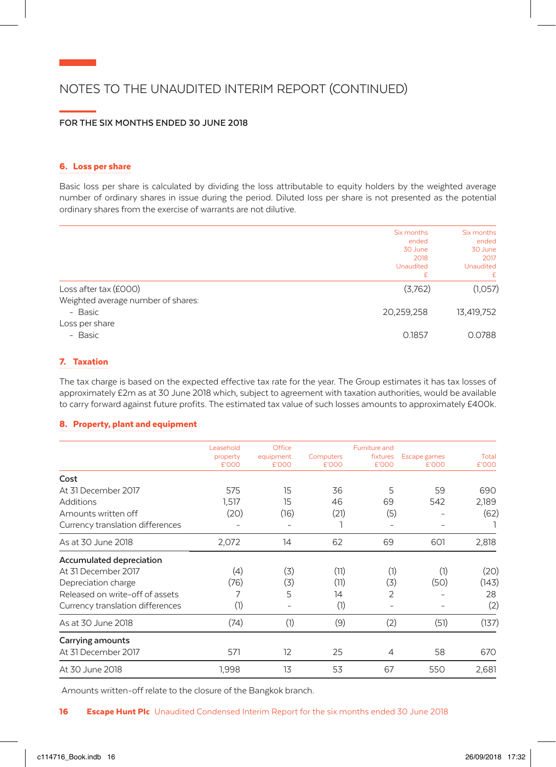## NOTES TO THE UNAUDITED INTERIM REPORT (CONTINUED)

### **FOR THE SIX MONTHS ENDED 30 JUNE 2018**

#### 6. Loss per share

Basic loss per share is calculated by dividing the loss attributable to equity holders by the weighted average number of ordinary shares in issue during the period. Diluted loss per share is not presented as the potential ordinary shares from the exercise of warrants are not dilutive.

|                                    | Six months<br>ended<br>30 June<br>2018<br>Unaudited<br>£ | Six months<br>ended<br>30 June<br>2017<br><b>Unaudited</b><br>£. |
|------------------------------------|----------------------------------------------------------|------------------------------------------------------------------|
| Loss after tax (£000)              | (3,762)                                                  | (1,057)                                                          |
| Weighted average number of shares: |                                                          |                                                                  |
| - Basic                            | 20,259,258                                               | 13,419,752                                                       |
| Loss per share                     |                                                          |                                                                  |
| - Basic                            | 0.1857                                                   | 0.0788                                                           |

### 7. Taxation

The tax charge is based on the expected effective tax rate for the year. The Group estimates it has tax losses of approximately £2m as at 30 June 2018 which, subject to agreement with taxation authorities, would be available to carry forward against future profits. The estimated tax value of such losses amounts to approximately £400k.

### 8. Property, plant and equipment

|                                  | Leasehold<br>property<br>£'000 | Office<br>equipment<br>£'000 | Computers<br>£'000 | Furniture and<br>fixtures<br>£'000 | Escape games<br>£'000 | Total<br>£'000 |
|----------------------------------|--------------------------------|------------------------------|--------------------|------------------------------------|-----------------------|----------------|
| Cost                             |                                |                              |                    |                                    |                       |                |
| At 31 December 2017              | 575                            | 15                           | 36                 | 5                                  | 59                    | 690            |
| <b>Additions</b>                 | 1.517                          | 15                           | 46                 | 69                                 | 542                   | 2,189          |
| Amounts written off              | (20)                           | (16)                         | (21)               | (5)                                |                       | (62)           |
| Currency translation differences |                                |                              |                    |                                    |                       |                |
| As at 30 June 2018               | 2,072                          | 14                           | 62                 | 69                                 | 601                   | 2,818          |
| Accumulated depreciation         |                                |                              |                    |                                    |                       |                |
| At 31 December 2017              | (4)                            | (3)                          | (11)               | (1)                                | (1)                   | (20)           |
| Depreciation charge              | (76)                           | (3)                          | (11)               | (3)                                | (50)                  | (143)          |
| Released on write-off of assets  | 7                              | 5                            | $\overline{14}$    | 2                                  |                       | 28             |
| Currency translation differences | (1)                            |                              | (1)                | -                                  |                       | (2)            |
| As at 30 June 2018               | (74)                           | (1)                          | (9)                | (2)                                | (51)                  | (137)          |
| Carrying amounts                 |                                |                              |                    |                                    |                       |                |
| At 31 December 2017              | 571                            | 12                           | 25                 | 4                                  | 58                    | 670            |
| At 30 June 2018                  | 1,998                          | 13                           | 53                 | 67                                 | 550                   | 2,681          |

Amounts written-off relate to the closure of the Bangkok branch.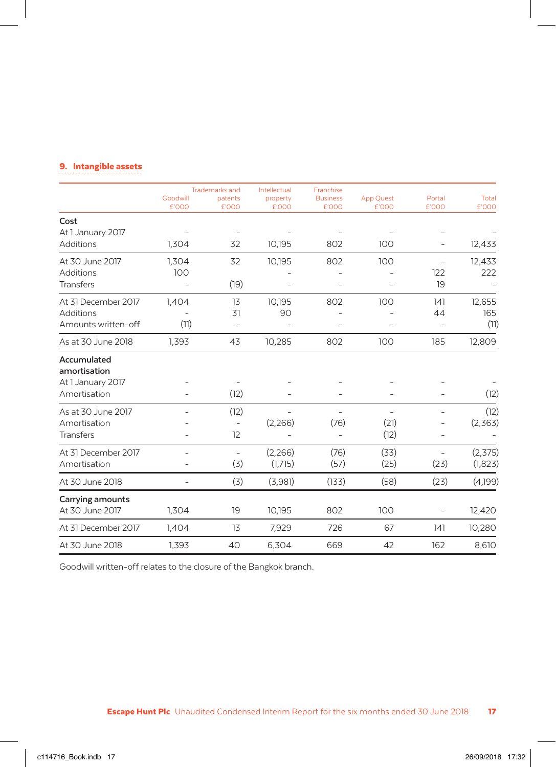### 9. Intangible assets

|                             | Goodwill | <b>Trademarks and</b><br>patents | Intellectual<br>property | Franchise<br><b>Business</b> | <b>App Quest</b>         | Portal                   | Total    |
|-----------------------------|----------|----------------------------------|--------------------------|------------------------------|--------------------------|--------------------------|----------|
|                             | £'000    | £'000                            | £'000                    | £'000                        | £'000                    | £'000                    | £'000    |
| Cost<br>At 1 January 2017   |          |                                  |                          |                              |                          |                          |          |
| Additions                   | 1,304    | 32                               | 10,195                   | 802                          | 100                      | $\overline{\phantom{a}}$ | 12,433   |
| At 30 June 2017             | 1,304    | 32                               | 10,195                   | 802                          | 100                      | $\overline{\phantom{a}}$ | 12,433   |
| <b>Additions</b>            | 100      |                                  |                          |                              |                          | 122                      | 222      |
| Transfers                   |          | (19)                             | -                        |                              | ۰                        | 19                       |          |
| At 31 December 2017         | 1,404    | 13                               | 10,195                   | 802                          | 100                      | 141                      | 12,655   |
| Additions                   |          | 31                               | 90                       |                              |                          | 44                       | 165      |
| Amounts written-off         | (11)     | $\overline{\phantom{m}}$         |                          |                              |                          |                          | (11)     |
| As at 30 June 2018          | 1,393    | 43                               | 10,285                   | 802                          | 100                      | 185                      | 12,809   |
| Accumulated<br>amortisation |          |                                  |                          |                              |                          |                          |          |
| At 1 January 2017           |          |                                  |                          |                              |                          |                          |          |
| Amortisation                |          | (12)                             |                          |                              | $\overline{a}$           |                          | (12)     |
| As at 30 June 2017          |          | (12)                             |                          |                              | $\overline{\phantom{0}}$ |                          | (12)     |
| Amortisation                |          |                                  | (2,266)                  | (76)                         | (21)                     |                          | (2,363)  |
| <b>Transfers</b>            |          | 12                               |                          |                              | (12)                     |                          |          |
| At 31 December 2017         |          | $\overline{\phantom{a}}$         | (2,266)                  | (76)                         | (33)                     | $\equiv$                 | (2, 375) |
| Amortisation                |          | (3)                              | (1,715)                  | (57)                         | (25)                     | (23)                     | (1,823)  |
| At 30 June 2018             |          | (3)                              | (3,981)                  | (133)                        | (58)                     | (23)                     | (4,199)  |
| Carrying amounts            |          |                                  |                          |                              |                          |                          |          |
| At 30 June 2017             | 1,304    | 19                               | 10,195                   | 802                          | 100                      | $\overline{\phantom{a}}$ | 12,420   |
| At 31 December 2017         | 1,404    | 13                               | 7,929                    | 726                          | 67                       | 141                      | 10,280   |
| At 30 June 2018             | 1,393    | 40                               | 6,304                    | 669                          | 42                       | 162                      | 8,610    |
|                             |          |                                  |                          |                              |                          |                          |          |

Goodwill written-off relates to the closure of the Bangkok branch.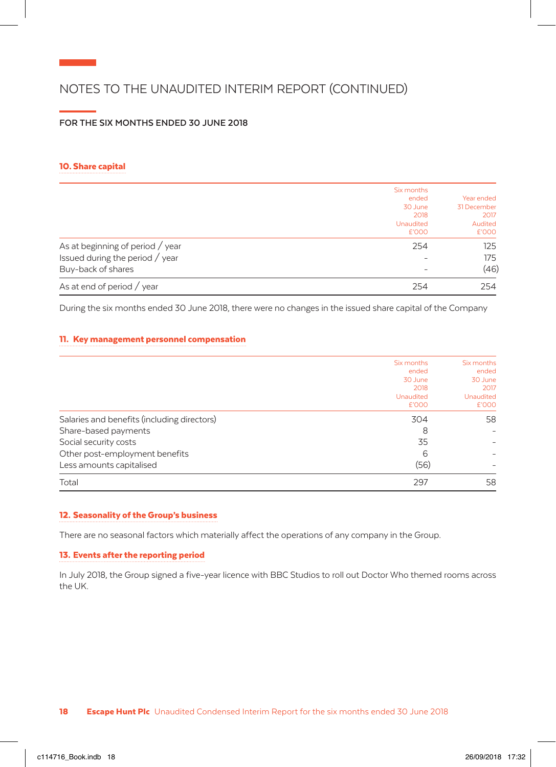## NOTES TO THE UNAUDITED INTERIM REPORT (CONTINUED)

## **FOR THE SIX MONTHS ENDED 30 JUNE 2018**

#### 10. Share capital

|                                               | Six months       |             |
|-----------------------------------------------|------------------|-------------|
|                                               | ended            | Year ended  |
|                                               | 30 June          | 31 December |
|                                               | 2018             | 2017        |
|                                               | <b>Unaudited</b> | Audited     |
|                                               | £'000            | £'000       |
| As at beginning of period / year              | 254              | 125         |
| Issued during the period $\frac{\ }{\ }$ year | -                | 175         |
| Buy-back of shares                            | -                | (46)        |
| As at end of period $\frac{\ }{2}$ year       | 254              | 254         |

During the six months ended 30 June 2018, there were no changes in the issued share capital of the Company

## 11. Key management personnel compensation

|                                             | Six months       | Six months       |
|---------------------------------------------|------------------|------------------|
|                                             | ended            | ended            |
|                                             | 30 June          | 30 June          |
|                                             | 2018             | 2017             |
|                                             | <b>Unaudited</b> | <b>Unaudited</b> |
|                                             | £'000            | £'000            |
| Salaries and benefits (including directors) | 304              | 58               |
| Share-based payments                        | 8                |                  |
| Social security costs                       | 35               |                  |
| Other post-employment benefits              | 6                |                  |
| Less amounts capitalised                    | (56)             |                  |
| Total                                       | 297              | 58               |

### 12. Seasonality of the Group's business

There are no seasonal factors which materially affect the operations of any company in the Group.

### 13. Events after the reporting period

In July 2018, the Group signed a five-year licence with BBC Studios to roll out Doctor Who themed rooms across the UK.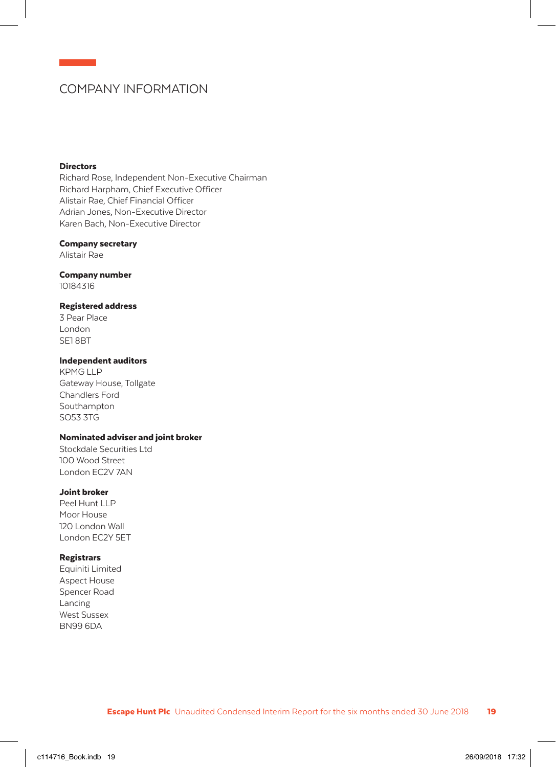## COMPANY INFORMATION

#### **Directors**

Richard Rose, Independent Non-Executive Chairman Richard Harpham, Chief Executive Officer Alistair Rae, Chief Financial Officer Adrian Jones, Non-Executive Director Karen Bach, Non-Executive Director

#### Company secretary

Alistair Rae

## Company number

10184316

### Registered address

3 Pear Place London SE1 8BT

#### Independent auditors

KPMG LLP Gateway House, Tollgate Chandlers Ford Southampton SO53 3TG

### Nominated adviser and joint broker

Stockdale Securities Ltd 100 Wood Street London EC2V 7AN

### Joint broker

Peel Hunt LLP Moor House 120 London Wall London EC2Y 5ET

#### **Registrars**

Equiniti Limited Aspect House Spencer Road Lancing West Sussex BN99 6DA